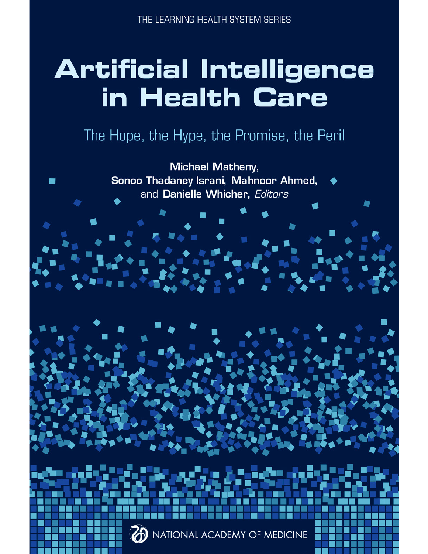# **Artificial Intelligence** in Health Care

### The Hope, the Hype, the Promise, the Peril

Michael Matheny, Sonoo Thadaney Israni, Mahnoor Ahmed, and Danielle Whicher, Editors



NATIONAL ACADEMY OF MEDICINE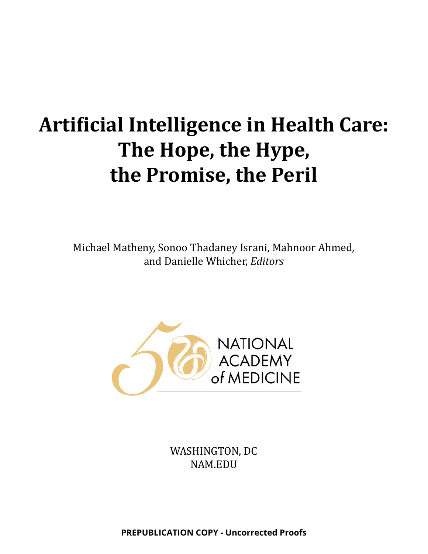## **Artificial Intelligence in Health Care: The Hope, the Hype, the Promise, the Peril**

Michael Matheny, Sonoo Thadaney Israni, Mahnoor Ahmed, and Danielle Whicher, *Editors*



WASHINGTON, DC NAM.EDU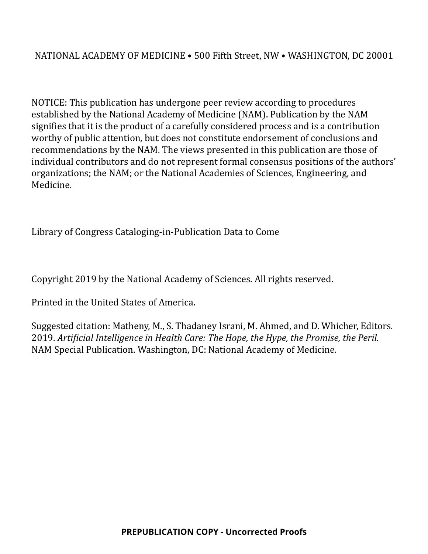#### NATIONAL ACADEMY OF MEDICINE • 500 Fifth Street, NW • WASHINGTON, DC 20001

NOTICE: This publication has undergone peer review according to procedures established by the National Academy of Medicine (NAM). Publication by the NAM signifies that it is the product of a carefully considered process and is a contribution worthy of public attention, but does not constitute endorsement of conclusions and recommendations by the NAM. The views presented in this publication are those of individual contributors and do not represent formal consensus positions of the authors' organizations; the NAM; or the National Academies of Sciences, Engineering, and Medicine.

Library of Congress Cataloging-in-Publication Data to Come

Copyright 2019 by the National Academy of Sciences. All rights reserved.

Printed in the United States of America.

Suggested citation: Matheny, M., S. Thadaney Israni, M. Ahmed, and D. Whicher, Editors. 2019. *Artificial Intelligence in Health Care: The Hope, the Hype, the Promise, the Peril.*  NAM Special Publication. Washington, DC: National Academy of Medicine.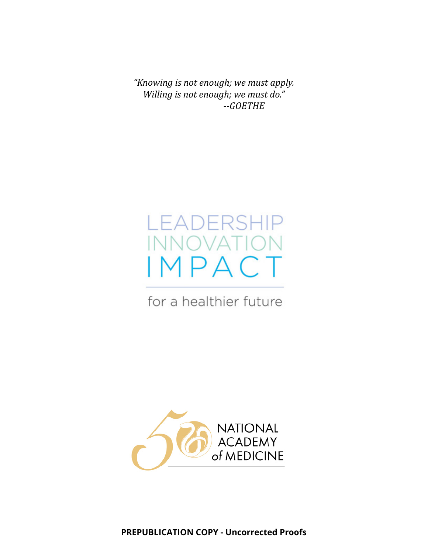*"Knowing is not enough; we must apply. Willing is not enough; we must do." --GOETHE*



for a healthier future

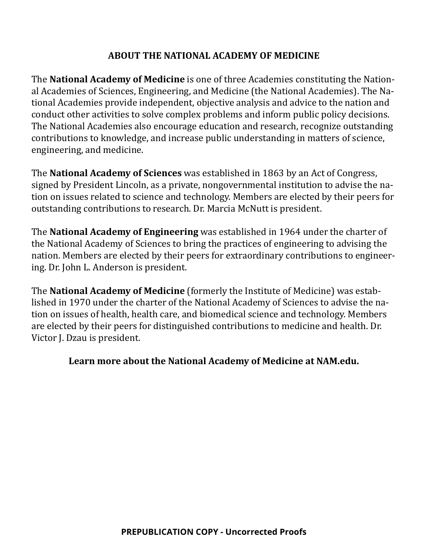#### **ABOUT THE NATIONAL ACADEMY OF MEDICINE**

The **National Academy of Medicine** is one of three Academies constituting the National Academies of Sciences, Engineering, and Medicine (the National Academies). The National Academies provide independent, objective analysis and advice to the nation and conduct other activities to solve complex problems and inform public policy decisions. The National Academies also encourage education and research, recognize outstanding contributions to knowledge, and increase public understanding in matters of science, engineering, and medicine.

The **National Academy of Sciences** was established in 1863 by an Act of Congress, signed by President Lincoln, as a private, nongovernmental institution to advise the nation on issues related to science and technology. Members are elected by their peers for outstanding contributions to research. Dr. Marcia McNutt is president.

The **National Academy of Engineering** was established in 1964 under the charter of the National Academy of Sciences to bring the practices of engineering to advising the nation. Members are elected by their peers for extraordinary contributions to engineering. Dr. John L. Anderson is president.

The **National Academy of Medicine** (formerly the Institute of Medicine) was established in 1970 under the charter of the National Academy of Sciences to advise the nation on issues of health, health care, and biomedical science and technology. Members are elected by their peers for distinguished contributions to medicine and health. Dr. Victor J. Dzau is president.

#### **Learn more about the National Academy of Medicine at NAM.edu.**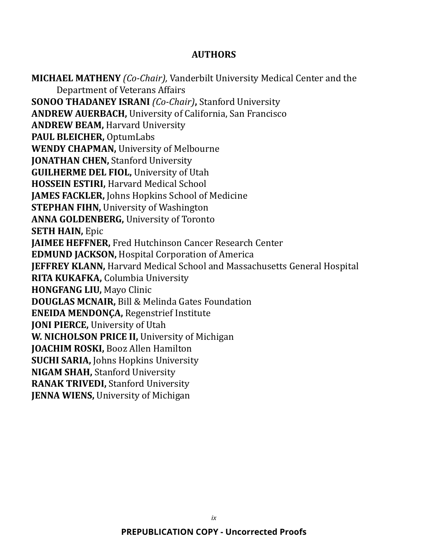#### **AUTHORS**

**MICHAEL MATHENY** *(Co-Chair),* Vanderbilt University Medical Center and the Department of Veterans Affairs **SONOO THADANEY ISRANI** *(Co-Chair)***,** Stanford University **ANDREW AUERBACH,** University of California, San Francisco **ANDREW BEAM,** Harvard University **PAUL BLEICHER,** OptumLabs **WENDY CHAPMAN,** University of Melbourne **JONATHAN CHEN, Stanford University GUILHERME DEL FIOL,** University of Utah **HOSSEIN ESTIRI,** Harvard Medical School **JAMES FACKLER,** Johns Hopkins School of Medicine **STEPHAN FIHN,** University of Washington **ANNA GOLDENBERG,** University of Toronto **SETH HAIN,** Epic **JAIMEE HEFFNER,** Fred Hutchinson Cancer Research Center **EDMUND JACKSON,** Hospital Corporation of America **JEFFREY KLANN,** Harvard Medical School and Massachusetts General Hospital **RITA KUKAFKA,** Columbia University **HONGFANG LIU,** Mayo Clinic **DOUGLAS MCNAIR,** Bill & Melinda Gates Foundation **ENEIDA MENDONÇA,** Regenstrief Institute **JONI PIERCE,** University of Utah **W. NICHOLSON PRICE II,** University of Michigan **JOACHIM ROSKI,** Booz Allen Hamilton **SUCHI SARIA,** Johns Hopkins University **NIGAM SHAH,** Stanford University **RANAK TRIVEDI,** Stanford University **JENNA WIENS, University of Michigan**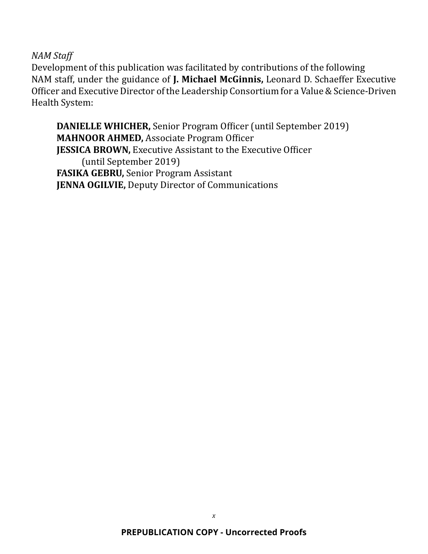*NAM Staff*

Development of this publication was facilitated by contributions of the following NAM staff, under the guidance of **J. Michael McGinnis,** Leonard D. Schaeffer Executive Officer and Executive Director of the Leadership Consortium for a Value & Science-Driven Health System:

**DANIELLE WHICHER,** Senior Program Officer (until September 2019) **MAHNOOR AHMED,** Associate Program Officer **JESSICA BROWN,** Executive Assistant to the Executive Officer (until September 2019) **FASIKA GEBRU,** Senior Program Assistant **JENNA OGILVIE,** Deputy Director of Communications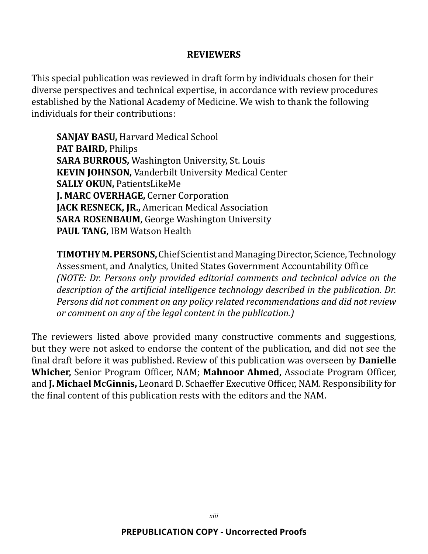#### **REVIEWERS**

This special publication was reviewed in draft form by individuals chosen for their diverse perspectives and technical expertise, in accordance with review procedures established by the National Academy of Medicine. We wish to thank the following individuals for their contributions:

**SANJAY BASU,** Harvard Medical School **PAT BAIRD,** Philips **SARA BURROUS,** Washington University, St. Louis **KEVIN JOHNSON,** Vanderbilt University Medical Center **SALLY OKUN,** PatientsLikeMe **J. MARC OVERHAGE,** Cerner Corporation **JACK RESNECK, JR.,** American Medical Association **SARA ROSENBAUM,** George Washington University **PAUL TANG,** IBM Watson Health

**TIMOTHY M. PERSONS,** Chief Scientist and Managing Director, Science, Technology Assessment, and Analytics, United States Government Accountability Office *(NOTE: Dr. Persons only provided editorial comments and technical advice on the description of the artificial intelligence technology described in the publication. Dr. Persons did not comment on any policy related recommendations and did not review or comment on any of the legal content in the publication.)*

The reviewers listed above provided many constructive comments and suggestions, but they were not asked to endorse the content of the publication, and did not see the final draft before it was published. Review of this publication was overseen by **Danielle Whicher,** Senior Program Officer, NAM; **Mahnoor Ahmed,** Associate Program Officer, and **J. Michael McGinnis,** Leonard D. Schaeffer Executive Officer, NAM. Responsibility for the final content of this publication rests with the editors and the NAM.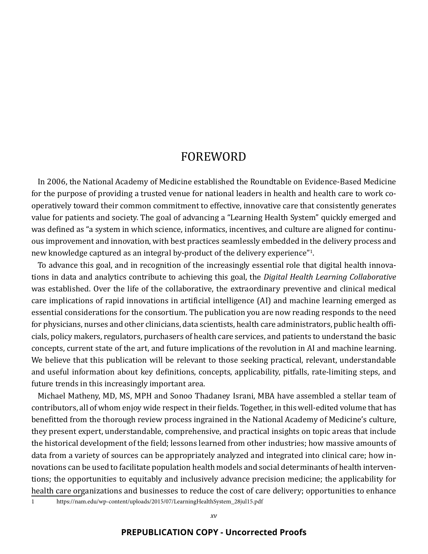#### FOREWORD

In 2006, the National Academy of Medicine established the Roundtable on Evidence-Based Medicine for the purpose of providing a trusted venue for national leaders in health and health care to work cooperatively toward their common commitment to effective, innovative care that consistently generates value for patients and society. The goal of advancing a "Learning Health System" quickly emerged and was defined as "a system in which science, informatics, incentives, and culture are aligned for continuous improvement and innovation, with best practices seamlessly embedded in the delivery process and new knowledge captured as an integral by-product of the delivery experience"<sup>1</sup>.

To advance this goal, and in recognition of the increasingly essential role that digital health innovations in data and analytics contribute to achieving this goal, the *Digital Health Learning Collaborative*  was established. Over the life of the collaborative, the extraordinary preventive and clinical medical care implications of rapid innovations in artificial intelligence (AI) and machine learning emerged as essential considerations for the consortium. The publication you are now reading responds to the need for physicians, nurses and other clinicians, data scientists, health care administrators, public health officials, policy makers, regulators, purchasers of health care services, and patients to understand the basic concepts, current state of the art, and future implications of the revolution in AI and machine learning. We believe that this publication will be relevant to those seeking practical, relevant, understandable and useful information about key definitions, concepts, applicability, pitfalls, rate-limiting steps, and future trends in this increasingly important area.

Michael Matheny, MD, MS, MPH and Sonoo Thadaney Israni, MBA have assembled a stellar team of contributors, all of whom enjoy wide respect in their fields. Together, in this well-edited volume that has benefitted from the thorough review process ingrained in the National Academy of Medicine's culture, they present expert, understandable, comprehensive, and practical insights on topic areas that include the historical development of the field; lessons learned from other industries; how massive amounts of data from a variety of sources can be appropriately analyzed and integrated into clinical care; how innovations can be used to facilitate population health models and social determinants of health interventions; the opportunities to equitably and inclusively advance precision medicine; the applicability for health care organizations and businesses to reduce the cost of care delivery; opportunities to enhance

1 https://nam.edu/wp-content/uploads/2015/07/LearningHealthSystem\_28jul15.pdf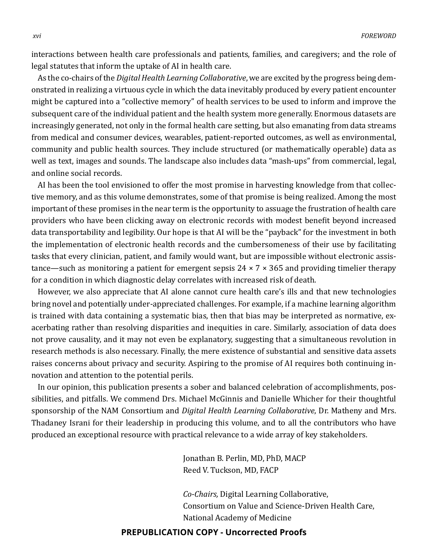interactions between health care professionals and patients, families, and caregivers; and the role of legal statutes that inform the uptake of AI in health care.

As the co-chairs of the *Digital Health Learning Collaborative*, we are excited by the progress being demonstrated in realizing a virtuous cycle in which the data inevitably produced by every patient encounter might be captured into a "collective memory" of health services to be used to inform and improve the subsequent care of the individual patient and the health system more generally. Enormous datasets are increasingly generated, not only in the formal health care setting, but also emanating from data streams from medical and consumer devices, wearables, patient-reported outcomes, as well as environmental, community and public health sources. They include structured (or mathematically operable) data as well as text, images and sounds. The landscape also includes data "mash-ups" from commercial, legal, and online social records.

AI has been the tool envisioned to offer the most promise in harvesting knowledge from that collective memory, and as this volume demonstrates, some of that promise is being realized. Among the most important of these promises in the near term is the opportunity to assuage the frustration of health care providers who have been clicking away on electronic records with modest benefit beyond increased data transportability and legibility. Our hope is that AI will be the "payback" for the investment in both the implementation of electronic health records and the cumbersomeness of their use by facilitating tasks that every clinician, patient, and family would want, but are impossible without electronic assistance—such as monitoring a patient for emergent sepsis  $24 \times 7 \times 365$  and providing timelier therapy for a condition in which diagnostic delay correlates with increased risk of death.

However, we also appreciate that AI alone cannot cure health care's ills and that new technologies bring novel and potentially under-appreciated challenges. For example, if a machine learning algorithm is trained with data containing a systematic bias, then that bias may be interpreted as normative, exacerbating rather than resolving disparities and inequities in care. Similarly, association of data does not prove causality, and it may not even be explanatory, suggesting that a simultaneous revolution in research methods is also necessary. Finally, the mere existence of substantial and sensitive data assets raises concerns about privacy and security. Aspiring to the promise of AI requires both continuing innovation and attention to the potential perils.

In our opinion, this publication presents a sober and balanced celebration of accomplishments, possibilities, and pitfalls. We commend Drs. Michael McGinnis and Danielle Whicher for their thoughtful sponsorship of the NAM Consortium and *Digital Health Learning Collaborative*, Dr. Matheny and Mrs. Thadaney Israni for their leadership in producing this volume, and to all the contributors who have produced an exceptional resource with practical relevance to a wide array of key stakeholders.

> Jonathan B. Perlin, MD, PhD, MACP Reed V. Tuckson, MD, FACP

*Co-Chairs,* Digital Learning Collaborative, Consortium on Value and Science-Driven Health Care, National Academy of Medicine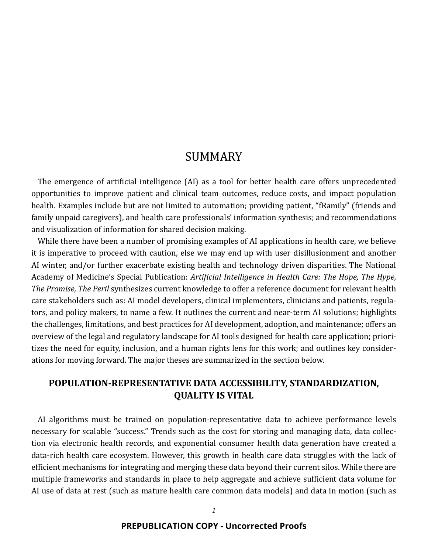#### SUMMARY

The emergence of artificial intelligence (AI) as a tool for better health care offers unprecedented opportunities to improve patient and clinical team outcomes, reduce costs, and impact population health. Examples include but are not limited to automation; providing patient, "fRamily" (friends and family unpaid caregivers), and health care professionals' information synthesis; and recommendations and visualization of information for shared decision making.

While there have been a number of promising examples of AI applications in health care, we believe it is imperative to proceed with caution, else we may end up with user disillusionment and another AI winter, and/or further exacerbate existing health and technology driven disparities. The National Academy of Medicine's Special Publication: *Artificial Intelligence in Health Care: The Hope, The Hype, The Promise, The Peril* synthesizes current knowledge to offer a reference document for relevant health care stakeholders such as: AI model developers, clinical implementers, clinicians and patients, regulators, and policy makers, to name a few. It outlines the current and near-term AI solutions; highlights the challenges, limitations, and best practices for AI development, adoption, and maintenance; offers an overview of the legal and regulatory landscape for AI tools designed for health care application; prioritizes the need for equity, inclusion, and a human rights lens for this work; and outlines key considerations for moving forward. The major theses are summarized in the section below.

#### **POPULATION-REPRESENTATIVE DATA ACCESSIBILITY, STANDARDIZATION, QUALITY IS VITAL**

AI algorithms must be trained on population-representative data to achieve performance levels necessary for scalable "success." Trends such as the cost for storing and managing data, data collection via electronic health records, and exponential consumer health data generation have created a data-rich health care ecosystem. However, this growth in health care data struggles with the lack of efficient mechanisms for integrating and merging these data beyond their current silos. While there are multiple frameworks and standards in place to help aggregate and achieve sufficient data volume for AI use of data at rest (such as mature health care common data models) and data in motion (such as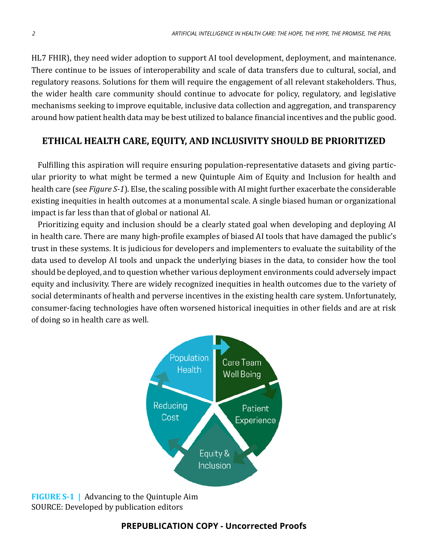HL7 FHIR), they need wider adoption to support AI tool development, deployment, and maintenance. There continue to be issues of interoperability and scale of data transfers due to cultural, social, and regulatory reasons. Solutions for them will require the engagement of all relevant stakeholders. Thus, the wider health care community should continue to advocate for policy, regulatory, and legislative mechanisms seeking to improve equitable, inclusive data collection and aggregation, and transparency around how patient health data may be best utilized to balance financial incentives and the public good.

#### **ETHICAL HEALTH CARE, EQUITY, AND INCLUSIVITY SHOULD BE PRIORITIZED**

Fulfilling this aspiration will require ensuring population-representative datasets and giving particular priority to what might be termed a new Quintuple Aim of Equity and Inclusion for health and health care (see *Figure S-1*). Else, the scaling possible with AI might further exacerbate the considerable existing inequities in health outcomes at a monumental scale. A single biased human or organizational impact is far less than that of global or national AI.

Prioritizing equity and inclusion should be a clearly stated goal when developing and deploying AI in health care. There are many high-profile examples of biased AI tools that have damaged the public's trust in these systems. It is judicious for developers and implementers to evaluate the suitability of the data used to develop AI tools and unpack the underlying biases in the data, to consider how the tool should be deployed, and to question whether various deployment environments could adversely impact equity and inclusivity. There are widely recognized inequities in health outcomes due to the variety of social determinants of health and perverse incentives in the existing health care system. Unfortunately, consumer-facing technologies have often worsened historical inequities in other fields and are at risk of doing so in health care as well.



**FIGURE S-1 |** Advancing to the Quintuple Aim SOURCE: Developed by publication editors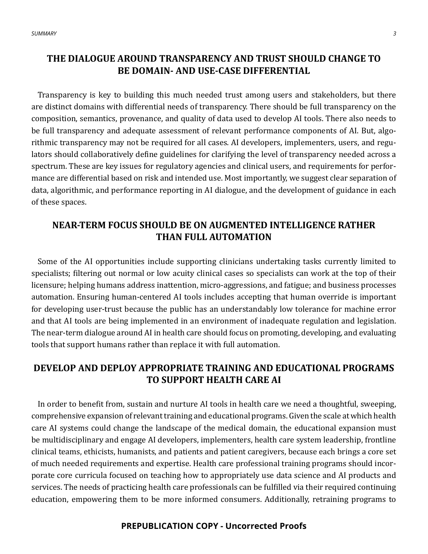#### **THE DIALOGUE AROUND TRANSPARENCY AND TRUST SHOULD CHANGE TO BE DOMAIN- AND USE-CASE DIFFERENTIAL**

Transparency is key to building this much needed trust among users and stakeholders, but there are distinct domains with differential needs of transparency. There should be full transparency on the composition, semantics, provenance, and quality of data used to develop AI tools. There also needs to be full transparency and adequate assessment of relevant performance components of AI. But, algorithmic transparency may not be required for all cases. AI developers, implementers, users, and regulators should collaboratively define guidelines for clarifying the level of transparency needed across a spectrum. These are key issues for regulatory agencies and clinical users, and requirements for performance are differential based on risk and intended use. Most importantly, we suggest clear separation of data, algorithmic, and performance reporting in AI dialogue, and the development of guidance in each of these spaces.

#### **NEAR-TERM FOCUS SHOULD BE ON AUGMENTED INTELLIGENCE RATHER THAN FULL AUTOMATION**

Some of the AI opportunities include supporting clinicians undertaking tasks currently limited to specialists; filtering out normal or low acuity clinical cases so specialists can work at the top of their licensure; helping humans address inattention, micro-aggressions, and fatigue; and business processes automation. Ensuring human-centered AI tools includes accepting that human override is important for developing user-trust because the public has an understandably low tolerance for machine error and that AI tools are being implemented in an environment of inadequate regulation and legislation. The near-term dialogue around AI in health care should focus on promoting, developing, and evaluating tools that support humans rather than replace it with full automation.

#### **DEVELOP AND DEPLOY APPROPRIATE TRAINING AND EDUCATIONAL PROGRAMS TO SUPPORT HEALTH CARE AI**

In order to benefit from, sustain and nurture AI tools in health care we need a thoughtful, sweeping, comprehensive expansion of relevant training and educational programs. Given the scale at which health care AI systems could change the landscape of the medical domain, the educational expansion must be multidisciplinary and engage AI developers, implementers, health care system leadership, frontline clinical teams, ethicists, humanists, and patients and patient caregivers, because each brings a core set of much needed requirements and expertise. Health care professional training programs should incorporate core curricula focused on teaching how to appropriately use data science and AI products and services. The needs of practicing health care professionals can be fulfilled via their required continuing education, empowering them to be more informed consumers. Additionally, retraining programs to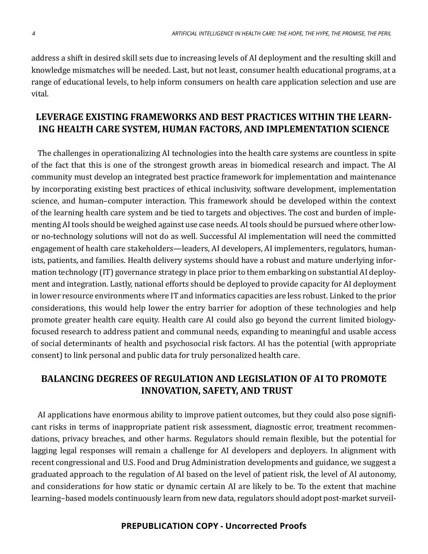address a shift in desired skill sets due to increasing levels of AI deployment and the resulting skill and knowledge mismatches will be needed. Last, but not least, consumer health educational programs, at a range of educational levels, to help inform consumers on health care application selection and use are vital.

#### **LEVERAGE EXISTING FRAMEWORKS AND BEST PRACTICES WITHIN THE LEARN-ING HEALTH CARE SYSTEM, HUMAN FACTORS, AND IMPLEMENTATION SCIENCE**

The challenges in operationalizing AI technologies into the health care systems are countless in spite of the fact that this is one of the strongest growth areas in biomedical research and impact. The AI community must develop an integrated best practice framework for implementation and maintenance by incorporating existing best practices of ethical inclusivity, software development, implementation science, and human–computer interaction. This framework should be developed within the context of the learning health care system and be tied to targets and objectives. The cost and burden of implementing AI tools should be weighed against use case needs. AI tools should be pursued where other lowor no-technology solutions will not do as well. Successful AI implementation will need the committed engagement of health care stakeholders—leaders, AI developers, AI implementers, regulators, humanists, patients, and families. Health delivery systems should have a robust and mature underlying information technology (IT) governance strategy in place prior to them embarking on substantial AI deployment and integration. Lastly, national efforts should be deployed to provide capacity for AI deployment in lower resource environments where IT and informatics capacities are less robust. Linked to the prior considerations, this would help lower the entry barrier for adoption of these technologies and help promote greater health care equity. Health care AI could also go beyond the current limited biologyfocused research to address patient and communal needs, expanding to meaningful and usable access of social determinants of health and psychosocial risk factors. AI has the potential (with appropriate consent) to link personal and public data for truly personalized health care.

#### **BALANCING DEGREES OF REGULATION AND LEGISLATION OF AI TO PROMOTE INNOVATION, SAFETY, AND TRUST**

AI applications have enormous ability to improve patient outcomes, but they could also pose significant risks in terms of inappropriate patient risk assessment, diagnostic error, treatment recommendations, privacy breaches, and other harms. Regulators should remain flexible, but the potential for lagging legal responses will remain a challenge for AI developers and deployers. In alignment with recent congressional and U.S. Food and Drug Administration developments and guidance, we suggest a graduated approach to the regulation of AI based on the level of patient risk, the level of AI autonomy, and considerations for how static or dynamic certain AI are likely to be. To the extent that machine learning–based models continuously learn from new data, regulators should adopt post-market surveil-